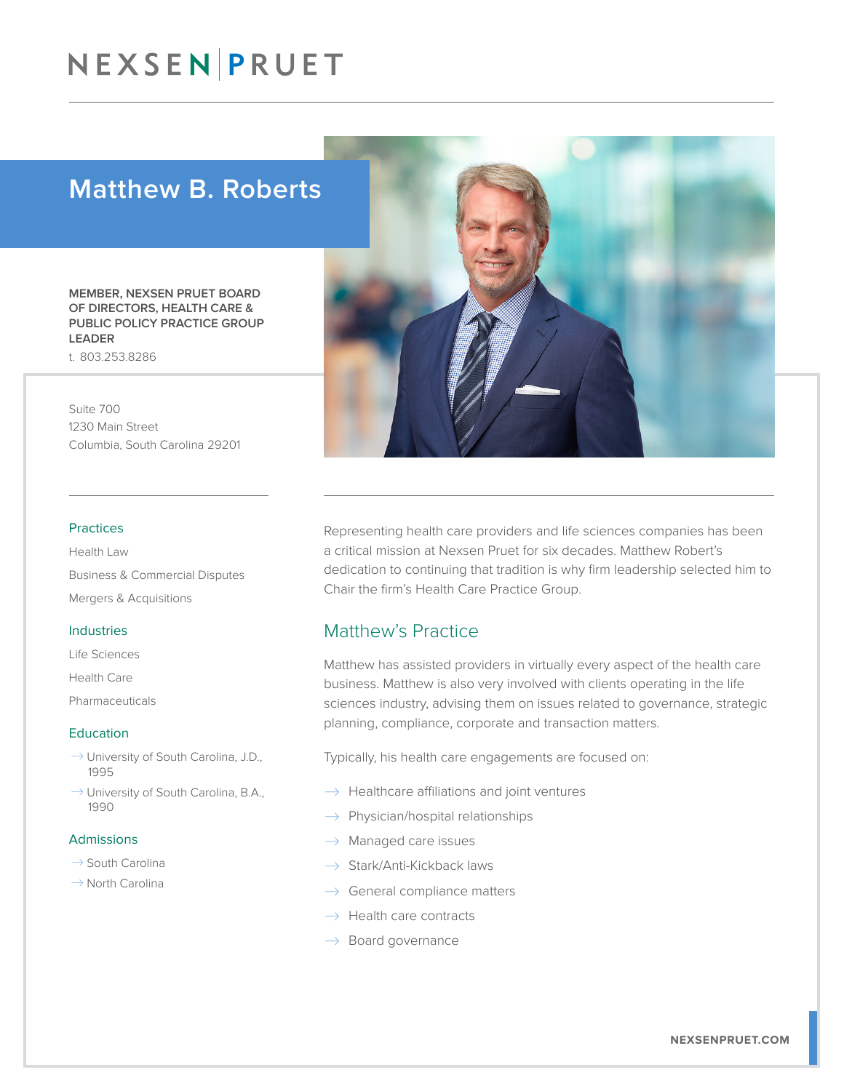### Matthew B. Roberts

MEMBER, NEXSEN PRUET BOARD OF DIRECTORS, HEALTH CARE & PUBLIC POLICY PRACTICE GROUP LEADER t. 803.253.8286

Suite 700 1230 Main Street Columbia, South Carolina 29201

#### Practices

Health Law Business & Commercial Disputes Mergers & Acquisitions

#### Industries

- Life Sciences
- Health Care

**Pharmaceuticals** 

#### Education

- $\rightarrow$  University of South Carolina, J.D., 1995
- $\rightarrow$  University of South Carolina, B.A., 1990

#### Admissions

- $\rightarrow$  South Carolina
- $\rightarrow$  North Carolina



### Matthew's Practice

Matthew has assisted providers in virtually every aspect of the health care business. Matthew is also very involved with clients operating in the life sciences industry, advising them on issues related to governance, strategic planning, compliance, corporate and transaction matters.

Typically, his health care engagements are focused on:

- $\rightarrow$  Healthcare affiliations and joint ventures
- $\rightarrow$  Physician/hospital relationships
- $\rightarrow$  Managed care issues
- $\rightarrow$  Stark/Anti-Kickback laws
- $\rightarrow$  General compliance matters
- $\rightarrow$  Health care contracts
- $\rightarrow$  Board governance

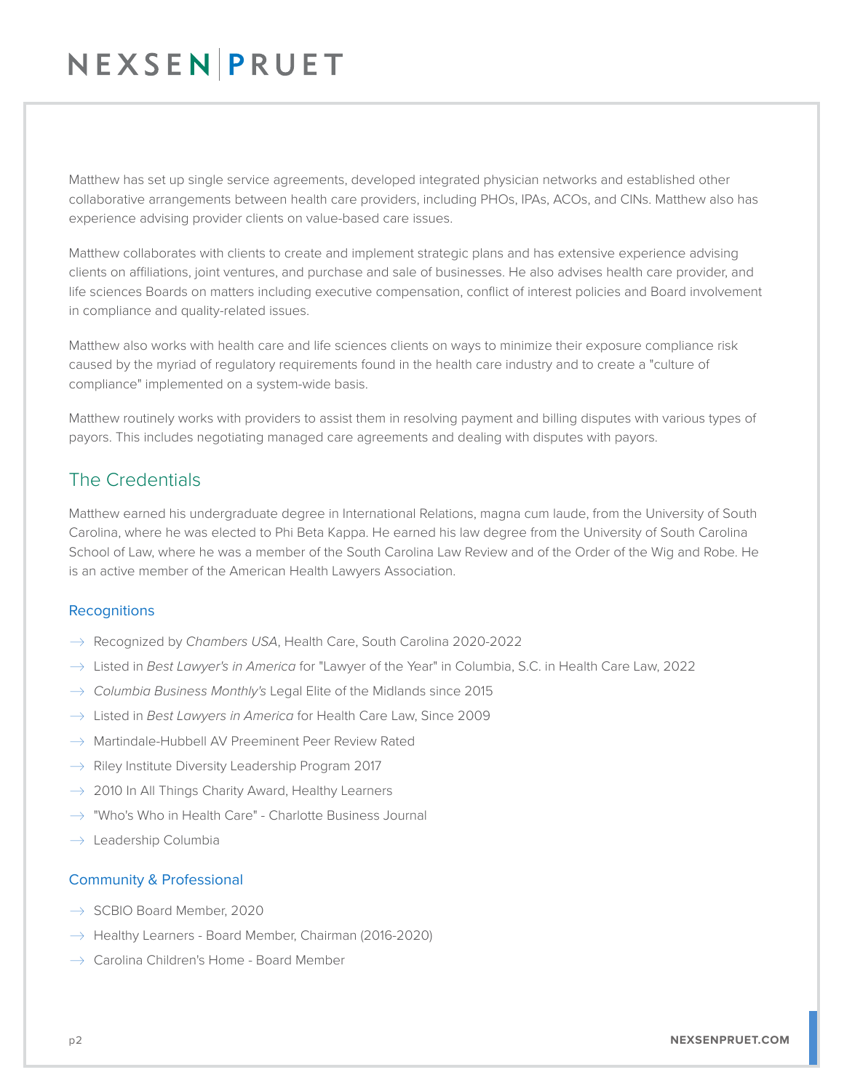Matthew has set up single service agreements, developed integrated physician networks and established other collaborative arrangements between health care providers, including PHOs, IPAs, ACOs, and CINs. Matthew also has experience advising provider clients on value-based care issues.

Matthew collaborates with clients to create and implement strategic plans and has extensive experience advising clients on affiliations, joint ventures, and purchase and sale of businesses. He also advises health care provider, and life sciences Boards on matters including executive compensation, conflict of interest policies and Board involvement in compliance and quality-related issues.

Matthew also works with health care and life sciences clients on ways to minimize their exposure compliance risk caused by the myriad of regulatory requirements found in the health care industry and to create a "culture of compliance" implemented on a system-wide basis.

Matthew routinely works with providers to assist them in resolving payment and billing disputes with various types of payors. This includes negotiating managed care agreements and dealing with disputes with payors.

### The Credentials

Matthew earned his undergraduate degree in International Relations, magna cum laude, from the University of South Carolina, where he was elected to Phi Beta Kappa. He earned his law degree from the University of South Carolina School of Law, where he was a member of the South Carolina Law Review and of the Order of the Wig and Robe. He is an active member of the American Health Lawyers Association.

### **Recognitions**

- � Recognized by *Chambers USA*, Health Care, South Carolina 2020-2022
- � Listed in *Best Lawyer's in America* for "Lawyer of the Year" in Columbia, S.C. in Health Care Law, 2022
- � *Columbia Business Monthly's* Legal Elite of the Midlands since 2015
- � Listed in *Best Lawyers in America* for Health Care Law, Since 2009
- $\rightarrow$  Martindale-Hubbell AV Preeminent Peer Review Rated
- $\rightarrow$  Riley Institute Diversity Leadership Program 2017
- $\rightarrow$  2010 In All Things Charity Award, Healthy Learners
- $\rightarrow$  "Who's Who in Health Care" Charlotte Business Journal
- $\rightarrow$  Leadership Columbia

### Community & Professional

- $\rightarrow$  SCBIO Board Member, 2020
- $\rightarrow$  Healthy Learners Board Member, Chairman (2016-2020)
- $\rightarrow$  Carolina Children's Home Board Member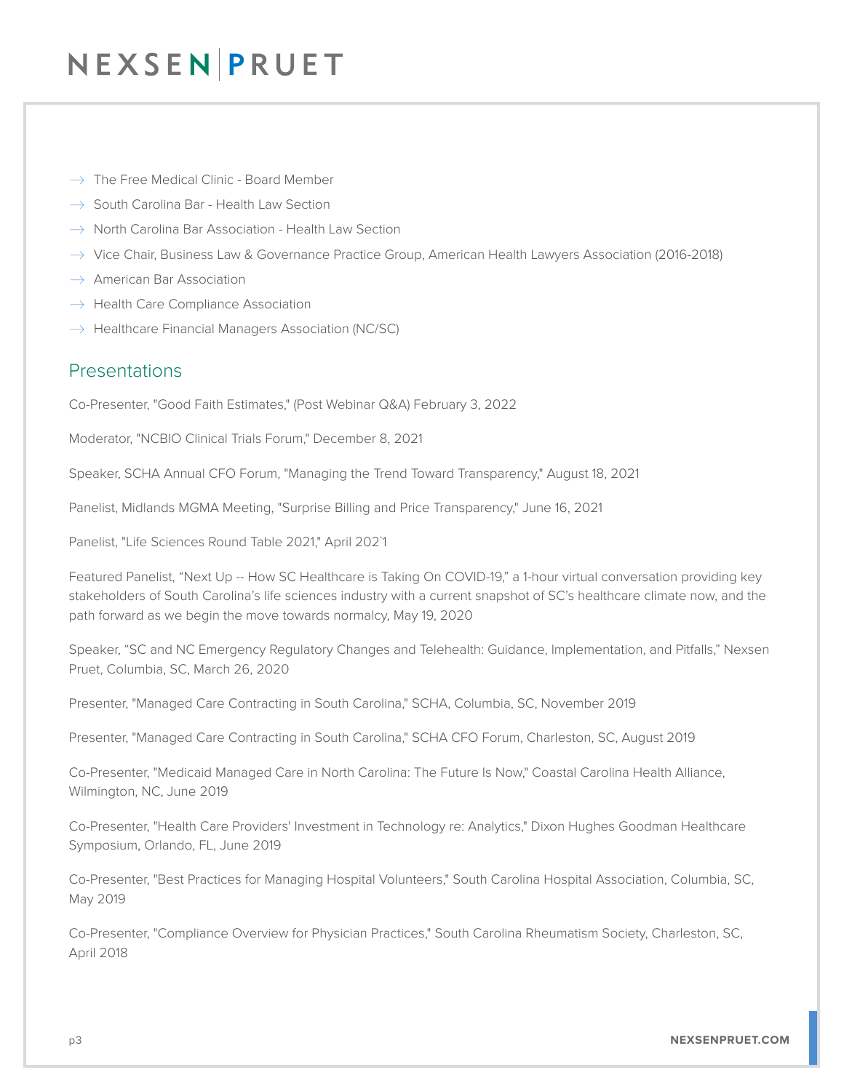- $\rightarrow$  The Free Medical Clinic Board Member
- $\rightarrow$  South Carolina Bar Health Law Section
- $\rightarrow$  North Carolina Bar Association Health Law Section
- $\rightarrow$  Vice Chair, Business Law & Governance Practice Group, American Health Lawyers Association (2016-2018)
- $\rightarrow$  American Bar Association
- $\rightarrow$  Health Care Compliance Association
- $\rightarrow$  Healthcare Financial Managers Association (NC/SC)

### Presentations

Co-Presenter, "Good Faith Estimates," (Post Webinar Q&A) February 3, 2022

Moderator, "NCBIO Clinical Trials Forum," December 8, 2021

Speaker, SCHA Annual CFO Forum, "Managing the Trend Toward Transparency," August 18, 2021

Panelist, Midlands MGMA Meeting, "Surprise Billing and Price Transparency," June 16, 2021

Panelist, "Life Sciences Round Table 2021," April 202`1

Featured Panelist, "Next Up -- How SC Healthcare is Taking On COVID-19," a 1-hour virtual conversation providing key stakeholders of South Carolina's life sciences industry with a current snapshot of SC's healthcare climate now, and the path forward as we begin the move towards normalcy, May 19, 2020

Speaker, "SC and NC Emergency Regulatory Changes and Telehealth: Guidance, Implementation, and Pitfalls," Nexsen Pruet, Columbia, SC, March 26, 2020

Presenter, "Managed Care Contracting in South Carolina," SCHA, Columbia, SC, November 2019

Presenter, "Managed Care Contracting in South Carolina," SCHA CFO Forum, Charleston, SC, August 2019

Co-Presenter, "Medicaid Managed Care in North Carolina: The Future Is Now," Coastal Carolina Health Alliance, Wilmington, NC, June 2019

Co-Presenter, "Health Care Providers' Investment in Technology re: Analytics," Dixon Hughes Goodman Healthcare Symposium, Orlando, FL, June 2019

Co-Presenter, "Best Practices for Managing Hospital Volunteers," South Carolina Hospital Association, Columbia, SC, May 2019

Co-Presenter, "Compliance Overview for Physician Practices," South Carolina Rheumatism Society, Charleston, SC, April 2018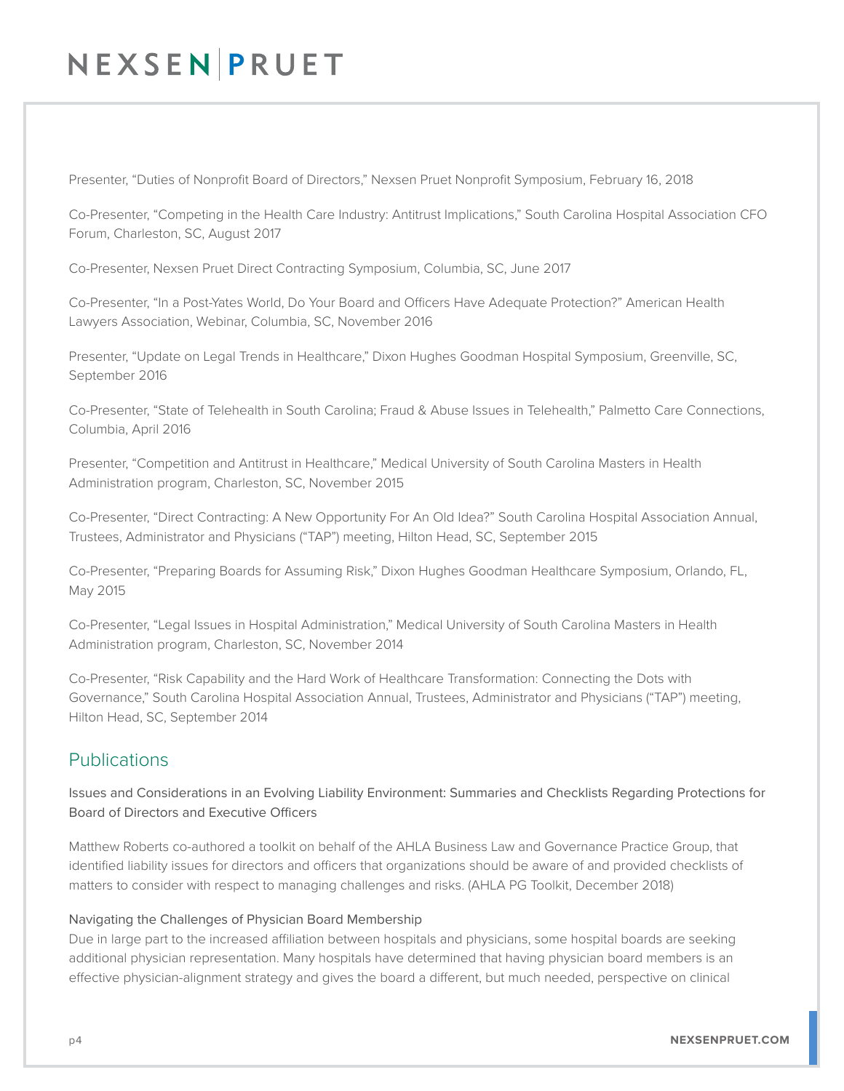Presenter, "Duties of Nonprofit Board of Directors," Nexsen Pruet Nonprofit Symposium, February 16, 2018

Co-Presenter, "Competing in the Health Care Industry: Antitrust Implications," South Carolina Hospital Association CFO Forum, Charleston, SC, August 2017

Co-Presenter, Nexsen Pruet Direct Contracting Symposium, Columbia, SC, June 2017

Co-Presenter, "In a Post-Yates World, Do Your Board and Officers Have Adequate Protection?" American Health Lawyers Association, Webinar, Columbia, SC, November 2016

Presenter, "Update on Legal Trends in Healthcare," Dixon Hughes Goodman Hospital Symposium, Greenville, SC, September 2016

Co-Presenter, "State of Telehealth in South Carolina; Fraud & Abuse Issues in Telehealth," Palmetto Care Connections, Columbia, April 2016

Presenter, "Competition and Antitrust in Healthcare," Medical University of South Carolina Masters in Health Administration program, Charleston, SC, November 2015

Co-Presenter, "Direct Contracting: A New Opportunity For An Old Idea?" South Carolina Hospital Association Annual, Trustees, Administrator and Physicians ("TAP") meeting, Hilton Head, SC, September 2015

Co-Presenter, "Preparing Boards for Assuming Risk," Dixon Hughes Goodman Healthcare Symposium, Orlando, FL, May 2015

Co-Presenter, "Legal Issues in Hospital Administration," Medical University of South Carolina Masters in Health Administration program, Charleston, SC, November 2014

Co-Presenter, "Risk Capability and the Hard Work of Healthcare Transformation: Connecting the Dots with Governance," South Carolina Hospital Association Annual, Trustees, Administrator and Physicians ("TAP") meeting, Hilton Head, SC, September 2014

### Publications

Issues and Considerations in an Evolving Liability Environment: Summaries and Checklists Regarding Protections for Board of Directors and Executive Officers

Matthew Roberts co-authored a toolkit on behalf of the AHLA Business Law and Governance Practice Group, that identified liability issues for directors and officers that organizations should be aware of and provided checklists of matters to consider with respect to managing challenges and risks. (AHLA PG Toolkit, December 2018)

### Navigating the Challenges of Physician Board Membership

Due in large part to the increased affiliation between hospitals and physicians, some hospital boards are seeking additional physician representation. Many hospitals have determined that having physician board members is an effective physician-alignment strategy and gives the board a different, but much needed, perspective on clinical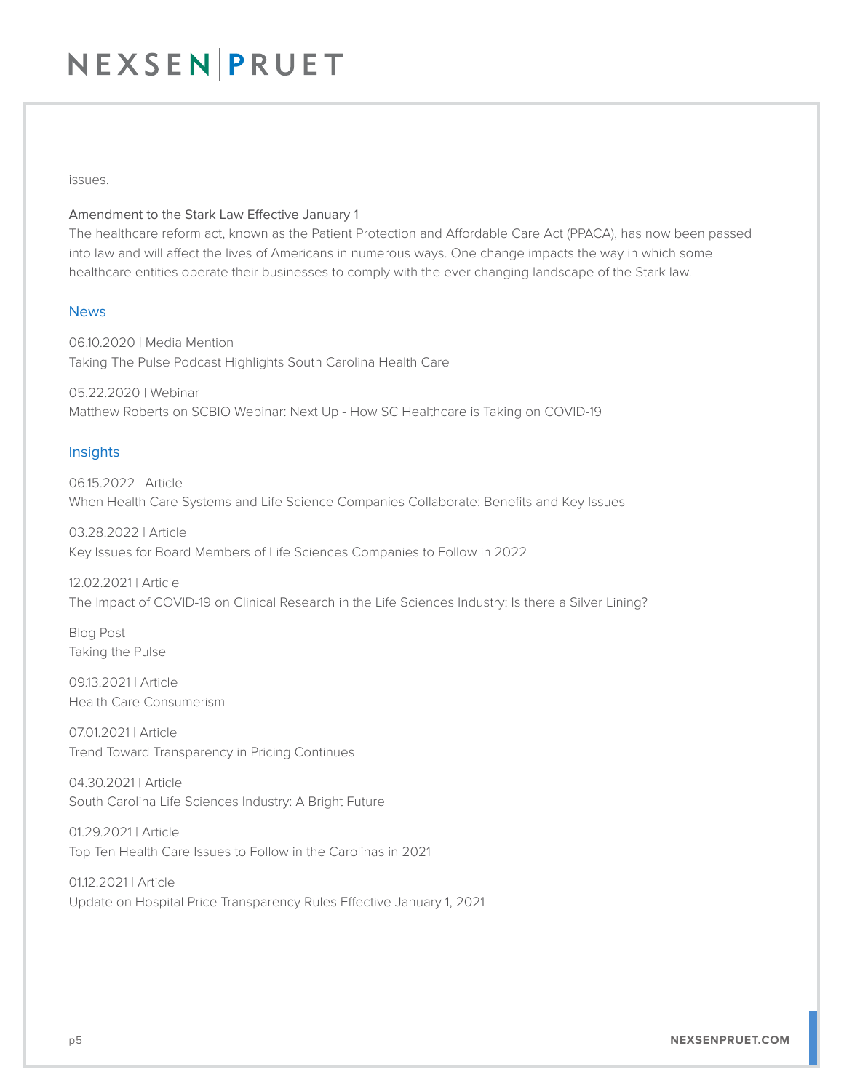issues.

#### Amendment to the Stark Law Effective January 1

The healthcare reform act, known as the Patient Protection and Affordable Care Act (PPACA), has now been passed into law and will affect the lives of Americans in numerous ways. One change impacts the way in which some healthcare entities operate their businesses to comply with the ever changing landscape of the Stark law.

### News

06.10.2020 | Media Mention Taking The Pulse Podcast Highlights South Carolina Health Care

05.22.2020 | Webinar Matthew Roberts on SCBIO Webinar: Next Up - How SC Healthcare is Taking on COVID-19

#### Insights

06.15.2022 | Article When Health Care Systems and Life Science Companies Collaborate: Benefits and Key Issues

03.28.2022 | Article Key Issues for Board Members of Life Sciences Companies to Follow in 2022

12.02.2021 | Article The Impact of COVID-19 on Clinical Research in the Life Sciences Industry: Is there a Silver Lining?

Blog Post Taking the Pulse

09.13.2021 | Article Health Care Consumerism

07.01.2021 | Article Trend Toward Transparency in Pricing Continues

04.30.2021 | Article South Carolina Life Sciences Industry: A Bright Future

01.29.2021 | Article Top Ten Health Care Issues to Follow in the Carolinas in 2021

01.12.2021 | Article Update on Hospital Price Transparency Rules Effective January 1, 2021